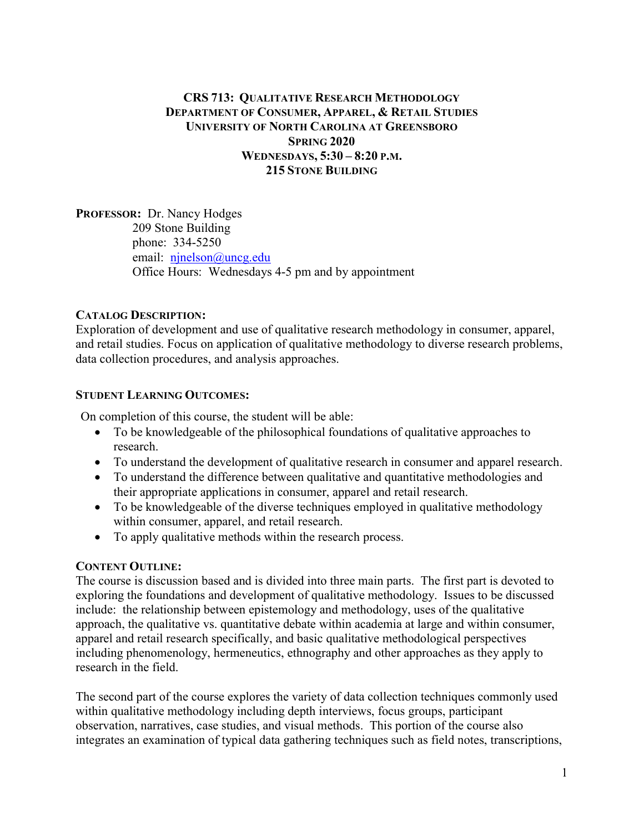# CRS 713: QUALITATIVE RESEARCH METHODOLOGY DEPARTMENT OF CONSUMER, APPAREL, & RETAIL STUDIES UNIVERSITY OF NORTH CAROLINA AT GREENSBORO SPRING 2020 WEDNESDAYS, 5:30 – 8:20 P.M. 215 STONE BUILDING

PROFESSOR: Dr. Nancy Hodges 209 Stone Building phone: 334-5250 email: ninelson@uncg.edu Office Hours: Wednesdays 4-5 pm and by appointment

#### CATALOG DESCRIPTION:

Exploration of development and use of qualitative research methodology in consumer, apparel, and retail studies. Focus on application of qualitative methodology to diverse research problems, data collection procedures, and analysis approaches.

#### STUDENT LEARNING OUTCOMES:

On completion of this course, the student will be able:

- To be knowledgeable of the philosophical foundations of qualitative approaches to research.
- To understand the development of qualitative research in consumer and apparel research.
- To understand the difference between qualitative and quantitative methodologies and their appropriate applications in consumer, apparel and retail research.
- To be knowledgeable of the diverse techniques employed in qualitative methodology within consumer, apparel, and retail research.
- To apply qualitative methods within the research process.

#### CONTENT OUTLINE:

The course is discussion based and is divided into three main parts. The first part is devoted to exploring the foundations and development of qualitative methodology. Issues to be discussed include: the relationship between epistemology and methodology, uses of the qualitative approach, the qualitative vs. quantitative debate within academia at large and within consumer, apparel and retail research specifically, and basic qualitative methodological perspectives including phenomenology, hermeneutics, ethnography and other approaches as they apply to research in the field.

The second part of the course explores the variety of data collection techniques commonly used within qualitative methodology including depth interviews, focus groups, participant observation, narratives, case studies, and visual methods. This portion of the course also integrates an examination of typical data gathering techniques such as field notes, transcriptions,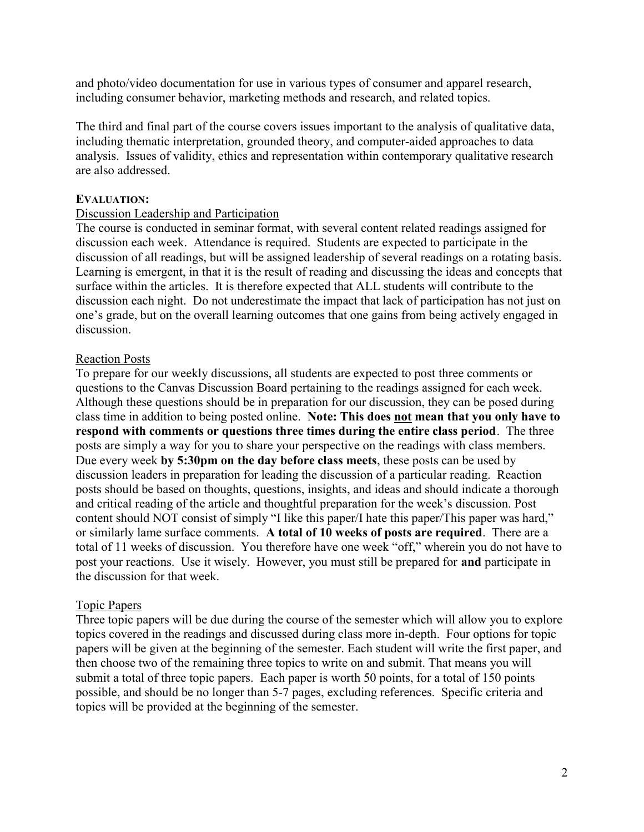and photo/video documentation for use in various types of consumer and apparel research, including consumer behavior, marketing methods and research, and related topics.

The third and final part of the course covers issues important to the analysis of qualitative data, including thematic interpretation, grounded theory, and computer-aided approaches to data analysis. Issues of validity, ethics and representation within contemporary qualitative research are also addressed.

#### EVALUATION:

### Discussion Leadership and Participation

The course is conducted in seminar format, with several content related readings assigned for discussion each week. Attendance is required. Students are expected to participate in the discussion of all readings, but will be assigned leadership of several readings on a rotating basis. Learning is emergent, in that it is the result of reading and discussing the ideas and concepts that surface within the articles. It is therefore expected that ALL students will contribute to the discussion each night. Do not underestimate the impact that lack of participation has not just on one's grade, but on the overall learning outcomes that one gains from being actively engaged in discussion.

# Reaction Posts

To prepare for our weekly discussions, all students are expected to post three comments or questions to the Canvas Discussion Board pertaining to the readings assigned for each week. Although these questions should be in preparation for our discussion, they can be posed during class time in addition to being posted online. Note: This does not mean that you only have to respond with comments or questions three times during the entire class period. The three posts are simply a way for you to share your perspective on the readings with class members. Due every week by 5:30pm on the day before class meets, these posts can be used by discussion leaders in preparation for leading the discussion of a particular reading. Reaction posts should be based on thoughts, questions, insights, and ideas and should indicate a thorough and critical reading of the article and thoughtful preparation for the week's discussion. Post content should NOT consist of simply "I like this paper/I hate this paper/This paper was hard," or similarly lame surface comments. A total of 10 weeks of posts are required. There are a total of 11 weeks of discussion. You therefore have one week "off," wherein you do not have to post your reactions. Use it wisely. However, you must still be prepared for and participate in the discussion for that week.

#### Topic Papers

Three topic papers will be due during the course of the semester which will allow you to explore topics covered in the readings and discussed during class more in-depth. Four options for topic papers will be given at the beginning of the semester. Each student will write the first paper, and then choose two of the remaining three topics to write on and submit. That means you will submit a total of three topic papers. Each paper is worth 50 points, for a total of 150 points possible, and should be no longer than 5-7 pages, excluding references. Specific criteria and topics will be provided at the beginning of the semester.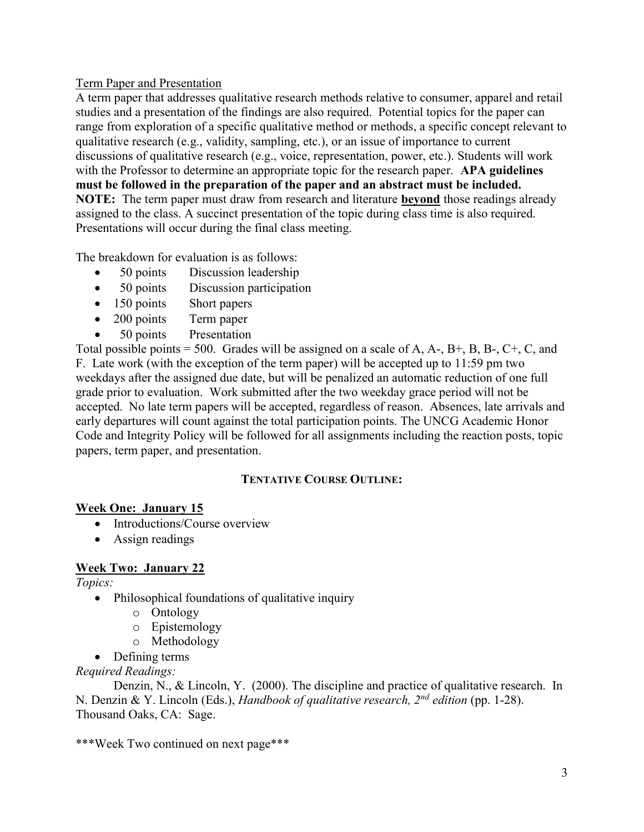# Term Paper and Presentation

A term paper that addresses qualitative research methods relative to consumer, apparel and retail studies and a presentation of the findings are also required. Potential topics for the paper can range from exploration of a specific qualitative method or methods, a specific concept relevant to qualitative research (e.g., validity, sampling, etc.), or an issue of importance to current discussions of qualitative research (e.g., voice, representation, power, etc.). Students will work with the Professor to determine an appropriate topic for the research paper. APA guidelines must be followed in the preparation of the paper and an abstract must be included. NOTE: The term paper must draw from research and literature beyond those readings already assigned to the class. A succinct presentation of the topic during class time is also required. Presentations will occur during the final class meeting.

The breakdown for evaluation is as follows:

- 50 points Discussion leadership
- 50 points Discussion participation
- 150 points Short papers
- 200 points Term paper
- 50 points Presentation

Total possible points  $= 500$ . Grades will be assigned on a scale of A, A-, B+, B, B-, C+, C, and F. Late work (with the exception of the term paper) will be accepted up to 11:59 pm two weekdays after the assigned due date, but will be penalized an automatic reduction of one full grade prior to evaluation. Work submitted after the two weekday grace period will not be accepted. No late term papers will be accepted, regardless of reason. Absences, late arrivals and early departures will count against the total participation points. The UNCG Academic Honor Code and Integrity Policy will be followed for all assignments including the reaction posts, topic papers, term paper, and presentation.

# TENTATIVE COURSE OUTLINE:

# Week One: January 15

- Introductions/Course overview
- Assign readings

# Week Two: January 22

Topics:

- Philosophical foundations of qualitative inquiry
	- o Ontology
	- o Epistemology
	- o Methodology
- Defining terms

# Required Readings:

Denzin, N., & Lincoln, Y. (2000). The discipline and practice of qualitative research. In N. Denzin & Y. Lincoln (Eds.), Handbook of qualitative research,  $2^{nd}$  edition (pp. 1-28). Thousand Oaks, CA: Sage.

\*\*\*Week Two continued on next page\*\*\*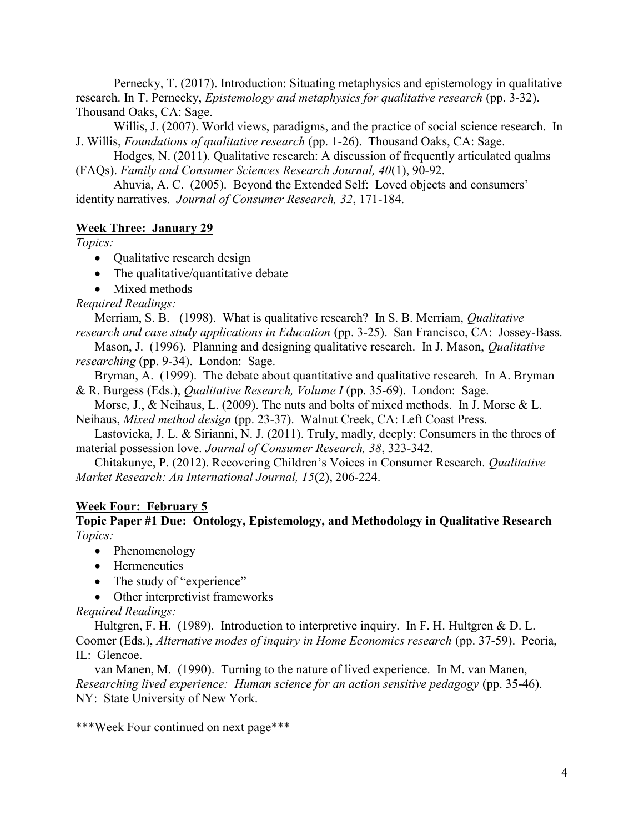Pernecky, T. (2017). Introduction: Situating metaphysics and epistemology in qualitative research. In T. Pernecky, *Epistemology and metaphysics for qualitative research* (pp. 3-32). Thousand Oaks, CA: Sage.

Willis, J. (2007). World views, paradigms, and the practice of social science research. In J. Willis, Foundations of qualitative research (pp. 1-26). Thousand Oaks, CA: Sage.

Hodges, N. (2011). Qualitative research: A discussion of frequently articulated qualms (FAQs). Family and Consumer Sciences Research Journal, 40(1), 90-92.

Ahuvia, A. C. (2005). Beyond the Extended Self: Loved objects and consumers' identity narratives. Journal of Consumer Research, 32, 171-184.

### Week Three: January 29

Topics:

- Qualitative research design
- The qualitative/quantitative debate
- Mixed methods

Required Readings:

Merriam, S. B. (1998). What is qualitative research? In S. B. Merriam, Qualitative research and case study applications in Education (pp. 3-25). San Francisco, CA: Jossey-Bass.

Mason, J. (1996). Planning and designing qualitative research. In J. Mason, Qualitative researching (pp. 9-34). London: Sage.

Bryman, A. (1999). The debate about quantitative and qualitative research. In A. Bryman & R. Burgess (Eds.), Qualitative Research, Volume I (pp. 35-69). London: Sage.

Morse, J., & Neihaus, L. (2009). The nuts and bolts of mixed methods. In J. Morse & L. Neihaus, Mixed method design (pp. 23-37). Walnut Creek, CA: Left Coast Press.

Lastovicka, J. L. & Sirianni, N. J. (2011). Truly, madly, deeply: Consumers in the throes of material possession love. Journal of Consumer Research, 38, 323-342.

Chitakunye, P. (2012). Recovering Children's Voices in Consumer Research. Qualitative Market Research: An International Journal, 15(2), 206-224.

#### Week Four: February 5

Topic Paper #1 Due: Ontology, Epistemology, and Methodology in Qualitative Research Topics:

- Phenomenology
- Hermeneutics
- The study of "experience"
- Other interpretivist frameworks

Required Readings:

Hultgren, F. H. (1989). Introduction to interpretive inquiry. In F. H. Hultgren & D. L. Coomer (Eds.), Alternative modes of inquiry in Home Economics research (pp. 37-59). Peoria, IL: Glencoe.

van Manen, M. (1990). Turning to the nature of lived experience. In M. van Manen, Researching lived experience: Human science for an action sensitive pedagogy (pp. 35-46). NY: State University of New York.

\*\*\*Week Four continued on next page\*\*\*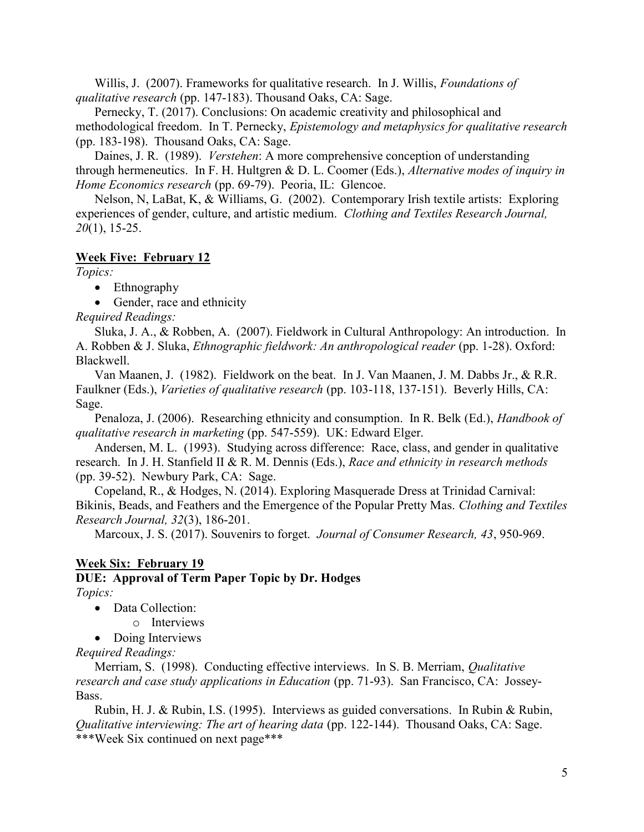Willis, J. (2007). Frameworks for qualitative research. In J. Willis, *Foundations of* qualitative research (pp. 147-183). Thousand Oaks, CA: Sage.

Pernecky, T. (2017). Conclusions: On academic creativity and philosophical and methodological freedom. In T. Pernecky, Epistemology and metaphysics for qualitative research (pp. 183-198). Thousand Oaks, CA: Sage.

Daines, J. R. (1989). Verstehen: A more comprehensive conception of understanding through hermeneutics. In F. H. Hultgren & D. L. Coomer (Eds.), Alternative modes of inquiry in Home Economics research (pp. 69-79). Peoria, IL: Glencoe.

Nelson, N, LaBat, K, & Williams, G. (2002). Contemporary Irish textile artists: Exploring experiences of gender, culture, and artistic medium. Clothing and Textiles Research Journal, 20(1), 15-25.

### Week Five: February 12

Topics:

• Ethnography

• Gender, race and ethnicity

Required Readings:

Sluka, J. A., & Robben, A. (2007). Fieldwork in Cultural Anthropology: An introduction. In A. Robben & J. Sluka, Ethnographic fieldwork: An anthropological reader (pp. 1-28). Oxford: Blackwell.

Van Maanen, J. (1982). Fieldwork on the beat. In J. Van Maanen, J. M. Dabbs Jr., & R.R. Faulkner (Eds.), *Varieties of qualitative research* (pp. 103-118, 137-151). Beverly Hills, CA: Sage.

Penaloza, J. (2006). Researching ethnicity and consumption. In R. Belk (Ed.), *Handbook of* qualitative research in marketing (pp. 547-559). UK: Edward Elger.

Andersen, M. L. (1993). Studying across difference: Race, class, and gender in qualitative research. In J. H. Stanfield II & R. M. Dennis (Eds.), Race and ethnicity in research methods (pp. 39-52). Newbury Park, CA: Sage.

Copeland, R., & Hodges, N. (2014). Exploring Masquerade Dress at Trinidad Carnival: Bikinis, Beads, and Feathers and the Emergence of the Popular Pretty Mas. Clothing and Textiles Research Journal, 32(3), 186-201.

Marcoux, J. S. (2017). Souvenirs to forget. *Journal of Consumer Research*, 43, 950-969.

# Week Six: February 19

### DUE: Approval of Term Paper Topic by Dr. Hodges Topics:

- Data Collection:
- o Interviews
- Doing Interviews

Required Readings:

Merriam, S. (1998). Conducting effective interviews. In S. B. Merriam, Qualitative research and case study applications in Education (pp. 71-93). San Francisco, CA: Jossey-Bass.

Rubin, H. J. & Rubin, I.S. (1995). Interviews as guided conversations. In Rubin & Rubin, Qualitative interviewing: The art of hearing data (pp. 122-144). Thousand Oaks, CA: Sage. \*\*\*Week Six continued on next page\*\*\*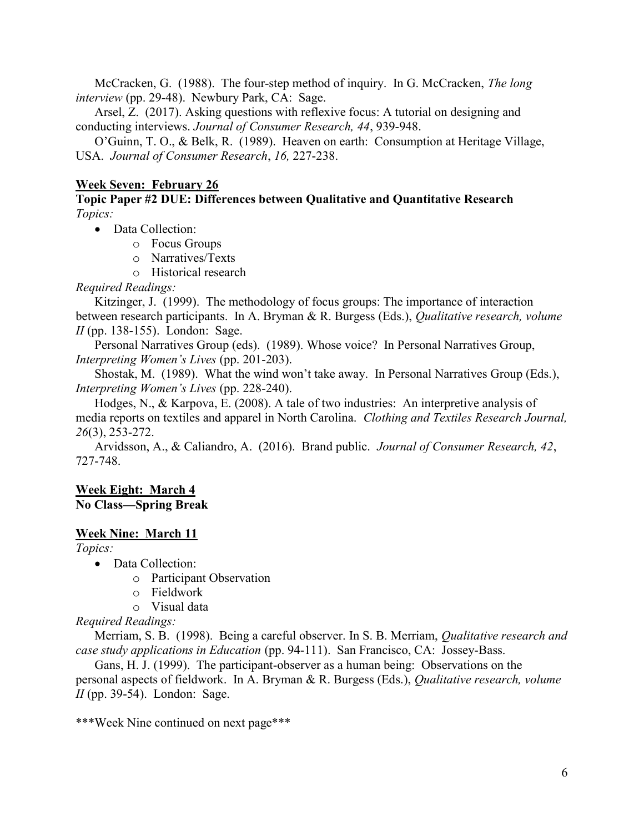McCracken, G. (1988). The four-step method of inquiry. In G. McCracken, *The long* interview (pp. 29-48). Newbury Park, CA: Sage.

Arsel, Z. (2017). Asking questions with reflexive focus: A tutorial on designing and conducting interviews. Journal of Consumer Research, 44, 939-948.

O'Guinn, T. O., & Belk, R. (1989). Heaven on earth: Consumption at Heritage Village, USA. Journal of Consumer Research, 16, 227-238.

### Week Seven: February 26

Topic Paper #2 DUE: Differences between Qualitative and Quantitative Research Topics:

• Data Collection:

- o Focus Groups
- o Narratives/Texts
- o Historical research

Required Readings:

Kitzinger, J. (1999). The methodology of focus groups: The importance of interaction between research participants. In A. Bryman & R. Burgess (Eds.), Qualitative research, volume  $II$  (pp. 138-155). London: Sage.

Personal Narratives Group (eds). (1989). Whose voice? In Personal Narratives Group, Interpreting Women's Lives (pp. 201-203).

Shostak, M. (1989). What the wind won't take away. In Personal Narratives Group (Eds.), Interpreting Women's Lives (pp. 228-240).

Hodges, N., & Karpova, E. (2008). A tale of two industries: An interpretive analysis of media reports on textiles and apparel in North Carolina. Clothing and Textiles Research Journal, 26(3), 253-272.

 Arvidsson, A., & Caliandro, A. (2016). Brand public. Journal of Consumer Research, 42, 727-748.

# Week Eight: March 4 No Class—Spring Break

#### Week Nine: March 11

Topics:

• Data Collection:

- o Participant Observation
- o Fieldwork
- o Visual data

Required Readings:

Merriam, S. B. (1998). Being a careful observer. In S. B. Merriam, Qualitative research and case study applications in Education (pp. 94-111). San Francisco, CA: Jossey-Bass.

Gans, H. J. (1999). The participant-observer as a human being: Observations on the personal aspects of fieldwork. In A. Bryman & R. Burgess (Eds.), Qualitative research, volume  $II$  (pp. 39-54). London: Sage.

\*\*\*Week Nine continued on next page\*\*\*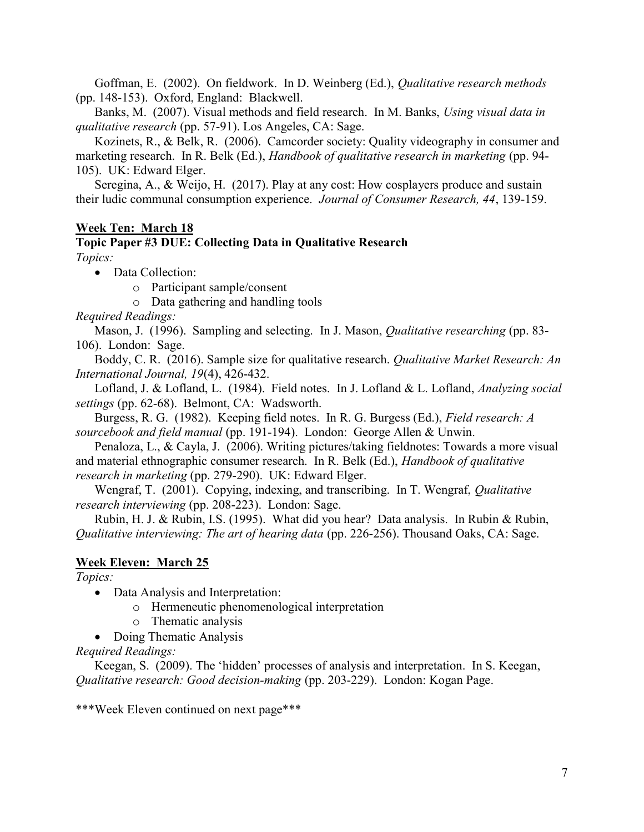Goffman, E. (2002). On fieldwork. In D. Weinberg (Ed.), Qualitative research methods (pp. 148-153). Oxford, England: Blackwell.

Banks, M. (2007). Visual methods and field research. In M. Banks, Using visual data in qualitative research (pp. 57-91). Los Angeles, CA: Sage.

Kozinets, R., & Belk, R. (2006). Camcorder society: Quality videography in consumer and marketing research. In R. Belk (Ed.), Handbook of qualitative research in marketing (pp. 94-105). UK: Edward Elger.

Seregina, A., & Weijo, H. (2017). Play at any cost: How cosplayers produce and sustain their ludic communal consumption experience. Journal of Consumer Research, 44, 139-159.

#### Week Ten: March 18

#### Topic Paper #3 DUE: Collecting Data in Qualitative Research Topics:

• Data Collection:

- o Participant sample/consent
- o Data gathering and handling tools

Required Readings:

Mason, J. (1996). Sampling and selecting. In J. Mason, *Qualitative researching* (pp. 83-106). London: Sage.

Boddy, C. R. (2016). Sample size for qualitative research. *Qualitative Market Research: An* International Journal, 19(4), 426-432.

Lofland, J. & Lofland, L. (1984). Field notes. In J. Lofland & L. Lofland, Analyzing social settings (pp. 62-68). Belmont, CA: Wadsworth.

Burgess, R. G. (1982). Keeping field notes. In R. G. Burgess (Ed.), Field research: A sourcebook and field manual (pp. 191-194). London: George Allen & Unwin.

Penaloza, L., & Cayla, J. (2006). Writing pictures/taking fieldnotes: Towards a more visual and material ethnographic consumer research. In R. Belk (Ed.), Handbook of qualitative research in marketing (pp. 279-290). UK: Edward Elger.

Wengraf, T. (2001). Copying, indexing, and transcribing. In T. Wengraf, Qualitative research interviewing (pp. 208-223). London: Sage.

Rubin, H. J. & Rubin, I.S. (1995). What did you hear? Data analysis. In Rubin & Rubin, Qualitative interviewing: The art of hearing data (pp. 226-256). Thousand Oaks, CA: Sage.

### Week Eleven: March 25

Topics:

- Data Analysis and Interpretation:
	- o Hermeneutic phenomenological interpretation
	- o Thematic analysis
- Doing Thematic Analysis

Required Readings:

Keegan, S. (2009). The 'hidden' processes of analysis and interpretation. In S. Keegan, Qualitative research: Good decision-making (pp. 203-229). London: Kogan Page.

\*\*\*Week Eleven continued on next page\*\*\*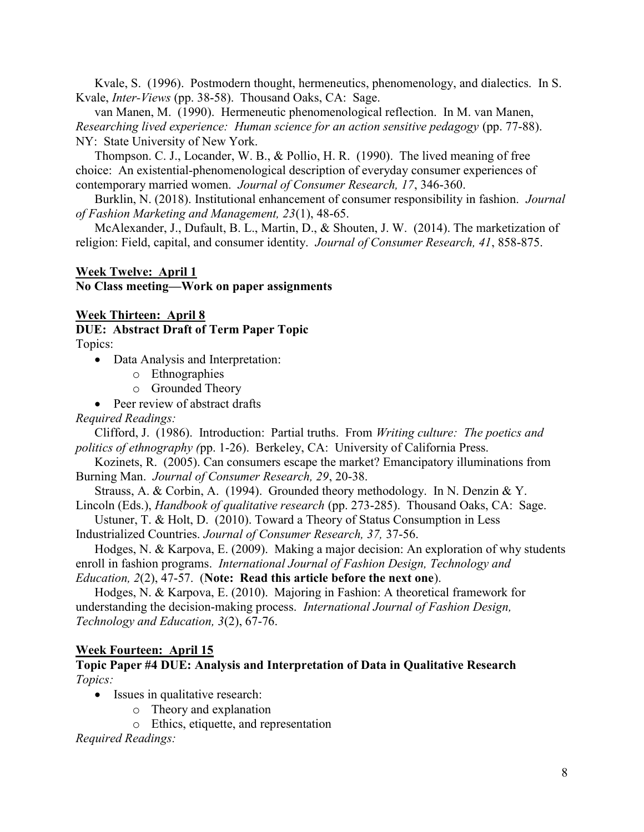Kvale, S. (1996). Postmodern thought, hermeneutics, phenomenology, and dialectics. In S. Kvale, Inter-Views (pp. 38-58). Thousand Oaks, CA: Sage.

van Manen, M. (1990). Hermeneutic phenomenological reflection. In M. van Manen, Researching lived experience: Human science for an action sensitive pedagogy (pp. 77-88). NY: State University of New York.

Thompson. C. J., Locander, W. B., & Pollio, H. R. (1990). The lived meaning of free choice: An existential-phenomenological description of everyday consumer experiences of contemporary married women. Journal of Consumer Research, 17, 346-360.

Burklin, N. (2018). Institutional enhancement of consumer responsibility in fashion. *Journal* of Fashion Marketing and Management, 23(1), 48-65.

McAlexander, J., Dufault, B. L., Martin, D., & Shouten, J. W. (2014). The marketization of religion: Field, capital, and consumer identity. Journal of Consumer Research, 41, 858-875.

### Week Twelve: April 1 No Class meeting—Work on paper assignments

#### Week Thirteen: April 8

DUE: Abstract Draft of Term Paper Topic Topics:

- Data Analysis and Interpretation:
	- o Ethnographies
	- o Grounded Theory
- Peer review of abstract drafts

Required Readings:

Clifford, J. (1986). Introduction: Partial truths. From Writing culture: The poetics and politics of ethnography (pp. 1-26). Berkeley, CA: University of California Press.

Kozinets, R. (2005). Can consumers escape the market? Emancipatory illuminations from Burning Man. Journal of Consumer Research, 29, 20-38.

Strauss, A. & Corbin, A. (1994). Grounded theory methodology. In N. Denzin & Y. Lincoln (Eds.), Handbook of qualitative research (pp. 273-285). Thousand Oaks, CA: Sage.

Ustuner, T. & Holt, D. (2010). Toward a Theory of Status Consumption in Less Industrialized Countries. Journal of Consumer Research, 37, 37-56.

Hodges, N. & Karpova, E. (2009). Making a major decision: An exploration of why students enroll in fashion programs. International Journal of Fashion Design, Technology and

Education, 2(2), 47-57. (Note: Read this article before the next one).

 Hodges, N. & Karpova, E. (2010). Majoring in Fashion: A theoretical framework for understanding the decision-making process. International Journal of Fashion Design, Technology and Education, 3(2), 67-76.

#### Week Fourteen: April 15

#### Topic Paper #4 DUE: Analysis and Interpretation of Data in Qualitative Research Topics:

- Issues in qualitative research:
	- o Theory and explanation
	- o Ethics, etiquette, and representation

Required Readings: